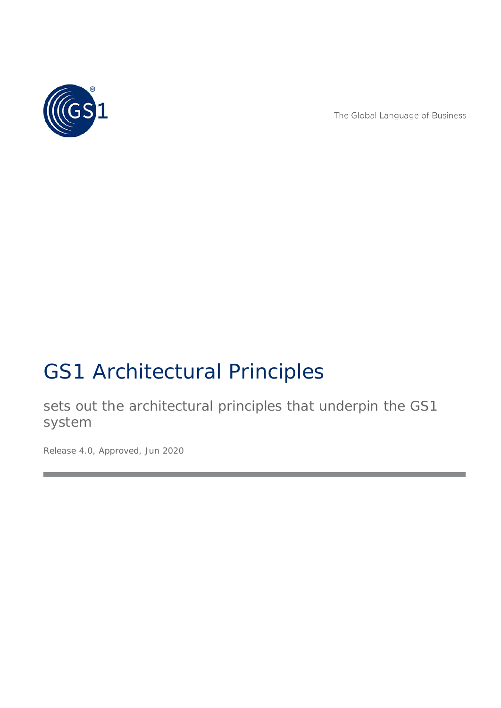

The Global Language of Business

# GS1 Architectural Principles

sets out the architectural principles that underpin the GS1 system

*Release 4.0, Approved, Jun 2020*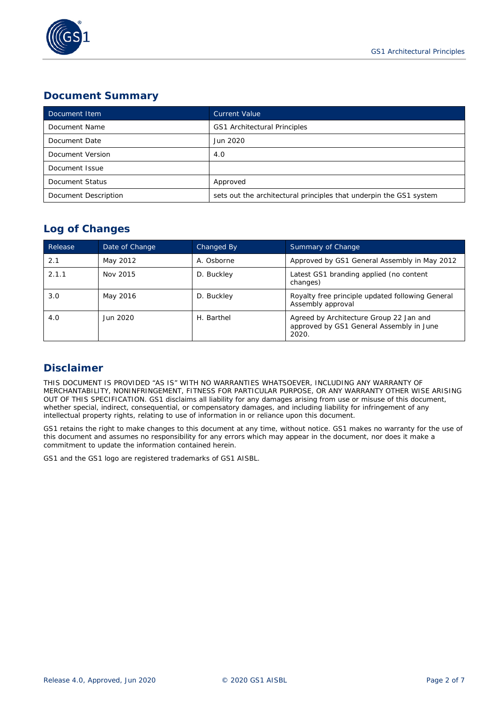

## **Document Summary**

| Document Item        | <b>Current Value</b>                                               |  |
|----------------------|--------------------------------------------------------------------|--|
| Document Name        | GS1 Architectural Principles                                       |  |
| Document Date        | Jun 2020                                                           |  |
| Document Version     | 4.0                                                                |  |
| Document Issue       |                                                                    |  |
| Document Status      | Approved                                                           |  |
| Document Description | sets out the architectural principles that underpin the GS1 system |  |

## **Log of Changes**

| Release | Date of Change | Changed By | Summary of Change                                                                            |
|---------|----------------|------------|----------------------------------------------------------------------------------------------|
| 2.1     | May 2012       | A. Osborne | Approved by GS1 General Assembly in May 2012                                                 |
| 2.1.1   | Nov 2015       | D. Buckley | Latest GS1 branding applied (no content<br>changes)                                          |
| 3.0     | May 2016       | D. Buckley | Royalty free principle updated following General<br>Assembly approval                        |
| 4.0     | Jun 2020       | H. Barthel | Agreed by Architecture Group 22 Jan and<br>approved by GS1 General Assembly in June<br>2020. |

# **Disclaimer**

THIS DOCUMENT IS PROVIDED "AS IS" WITH NO WARRANTIES WHATSOEVER, INCLUDING ANY WARRANTY OF MERCHANTABILITY, NONINFRINGEMENT, FITNESS FOR PARTICULAR PURPOSE, OR ANY WARRANTY OTHER WISE ARISING OUT OF THIS SPECIFICATION. GS1 disclaims all liability for any damages arising from use or misuse of this document, whether special, indirect, consequential, or compensatory damages, and including liability for infringement of any intellectual property rights, relating to use of information in or reliance upon this document.

GS1 retains the right to make changes to this document at any time, without notice. GS1 makes no warranty for the use of this document and assumes no responsibility for any errors which may appear in the document, nor does it make a commitment to update the information contained herein.

GS1 and the GS1 logo are registered trademarks of GS1 AISBL.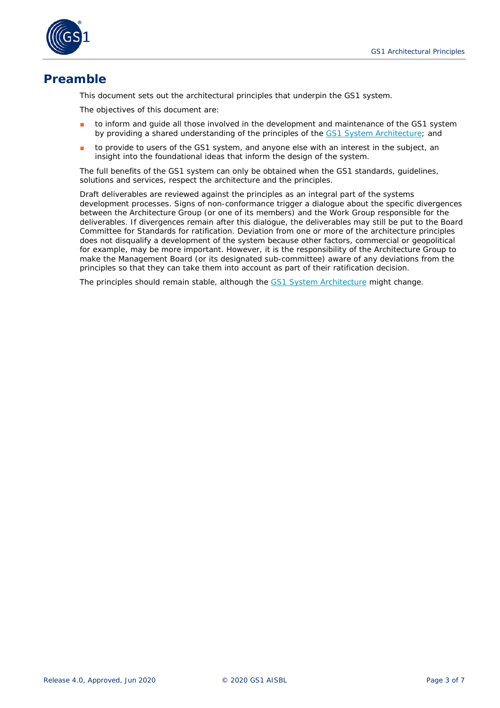

# **Preamble**

This document sets out the architectural principles that underpin the GS1 system.

The objectives of this document are:

- to inform and guide all those involved in the development and maintenance of the GS1 system by providing a shared understanding of the principles of the [GS1 System Architecture;](https://www.gs1.org/standards/gs1-system-architecture-document/current-standard) and
- to provide to users of the GS1 system, and anyone else with an interest in the subject, an insight into the foundational ideas that inform the design of the system.

The full benefits of the GS1 system can only be obtained when the GS1 standards, guidelines, solutions and services, respect the architecture and the principles.

Draft deliverables are reviewed against the principles as an integral part of the systems development processes. Signs of non-conformance trigger a dialogue about the specific divergences between the Architecture Group (or one of its members) and the Work Group responsible for the deliverables. If divergences remain after this dialogue, the deliverables may still be put to the Board Committee for Standards for ratification. Deviation from one or more of the architecture principles does not disqualify a development of the system because other factors, commercial or geopolitical for example, may be more important. However, it is the responsibility of the Architecture Group to make the Management Board (or its designated sub-committee) aware of any deviations from the principles so that they can take them into account as part of their ratification decision.

The principles should remain stable, although the [GS1 System Architecture](https://www.gs1.org/standards/gs1-system-architecture-document/current-standard) might change.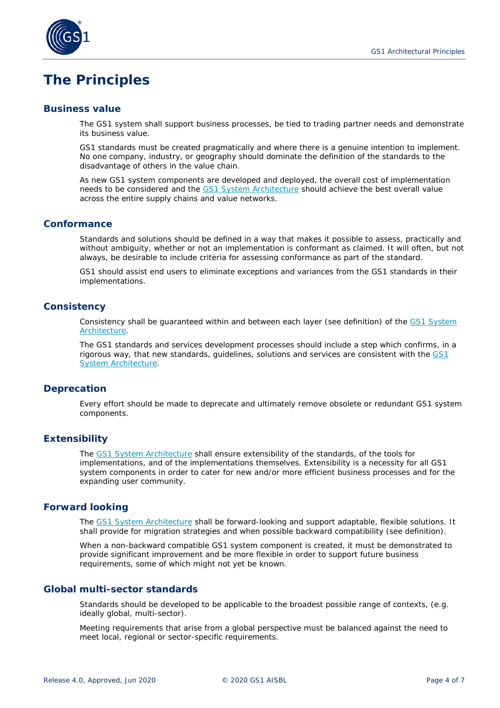

# **The Principles**

#### **Business value**

The GS1 system shall support business processes, be tied to trading partner needs and demonstrate its business value.

GS1 standards must be created pragmatically and where there is a genuine intention to implement. No one company, industry, or geography should dominate the definition of the standards to the disadvantage of others in the value chain.

As new GS1 system components are developed and deployed, the overall cost of implementation needs to be considered and the [GS1 System Architecture](https://www.gs1.org/standards/gs1-system-architecture-document/current-standard) should achieve the best overall value across the entire supply chains and value networks.

#### **Conformance**

Standards and solutions should be defined in a way that makes it possible to assess, practically and without ambiguity, whether or not an implementation is conformant as claimed. It will often, but not always, be desirable to include criteria for assessing conformance as part of the standard.

GS1 should assist end users to eliminate exceptions and variances from the GS1 standards in their implementations.

#### **Consistency**

Consistency shall be guaranteed within and between each layer (see definition) of the [GS1 System](https://www.gs1.org/standards/gs1-system-architecture-document/current-standard)  [Architecture](https://www.gs1.org/standards/gs1-system-architecture-document/current-standard)*.* 

The GS1 standards and services development processes should include a step which confirms, in a rigorous way, that new standards, guidelines, solutions and services are consistent with the [GS1](https://www.gs1.org/standards/gs1-system-architecture-document/current-standard)  [System Architecture](https://www.gs1.org/standards/gs1-system-architecture-document/current-standard)*.* 

#### <span id="page-3-1"></span>**Deprecation**

Every effort should be made to deprecate and ultimately remove obsolete or redundant GS1 system components.

#### **Extensibility**

The [GS1 System Architecture](https://www.gs1.org/standards/gs1-system-architecture-document/current-standard) shall ensure extensibility of the standards, of the tools for implementations, and of the implementations themselves. Extensibility is a necessity for all GS1 system components in order to cater for new and/or more efficient business processes and for the expanding user community.

#### <span id="page-3-0"></span>**Forward looking**

The [GS1 System Architecture](https://www.gs1.org/standards/gs1-system-architecture-document/current-standard) shall be forward-looking and support adaptable, flexible solutions. It shall provide for migration strategies and when possible backward compatibility (see definition).

When a non-backward compatible GS1 system component is created, it must be demonstrated to provide significant improvement and be more flexible in order to support future business requirements, some of which might not yet be known.

### **Global multi-sector standards**

Standards should be developed to be applicable to the broadest possible range of contexts, (e.g. ideally global, multi-sector).

Meeting requirements that arise from a global perspective must be balanced against the need to meet local, regional or sector-specific requirements.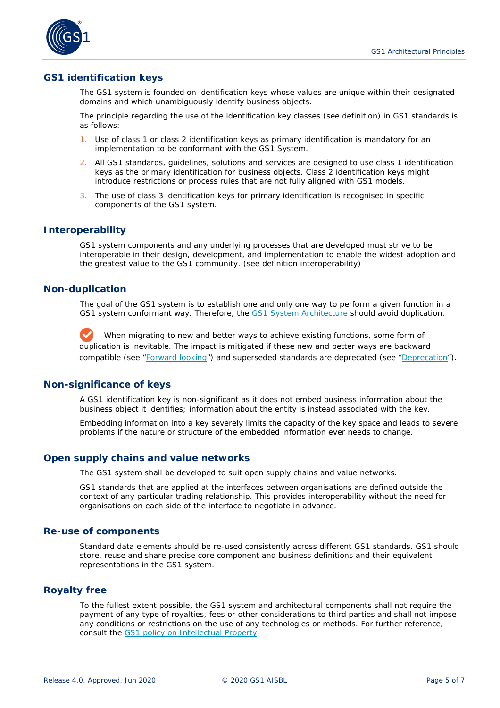

#### **GS1 identification keys**

The GS1 system is founded on identification keys whose values are unique within their designated domains and which unambiguously identify business objects.

The principle regarding the use of the identification key classes (see definition) in GS1 standards is as follows:

- 1. Use of class 1 or class 2 identification keys as primary identification is mandatory for an implementation to be conformant with the GS1 System.
- 2. All GS1 standards, guidelines, solutions and services are designed to use class 1 identification keys as the primary identification for business objects. Class 2 identification keys might introduce restrictions or process rules that are not fully aligned with GS1 models.
- 3. The use of class 3 identification keys for primary identification is recognised in specific components of the GS1 system.

#### **Interoperability**

GS1 system components and any underlying processes that are developed must strive to be interoperable in their design, development, and implementation to enable the widest adoption and the greatest value to the GS1 community. (see definition interoperability)

#### **Non-duplication**

The goal of the GS1 system is to establish one and only one way to perform a given function in a GS1 system conformant way. Therefore, the [GS1 System Architecture](https://www.gs1.org/standards/gs1-system-architecture-document/current-standard) should avoid duplication.

When migrating to new and better ways to achieve existing functions, some form of duplication is inevitable. The impact is mitigated if these new and better ways are backward compatible (see ["Forward looking"](#page-3-0)) and superseded standards are deprecated (see ["Deprecation"](#page-3-1)).

#### **Non-significance of keys**

A GS1 identification key is non-significant as it does not embed business information about the business object it identifies; information about the entity is instead associated with the key.

Embedding information into a key severely limits the capacity of the key space and leads to severe problems if the nature or structure of the embedded information ever needs to change.

#### **Open supply chains and value networks**

The GS1 system shall be developed to suit open supply chains and value networks.

GS1 standards that are applied at the interfaces between organisations are defined outside the context of any particular trading relationship. This provides interoperability without the need for organisations on each side of the interface to negotiate in advance.

#### **Re-use of components**

Standard data elements should be re-used consistently across different GS1 standards. GS1 should store, reuse and share precise core component and business definitions and their equivalent representations in the GS1 system.

#### **Royalty free**

To the fullest extent possible, the GS1 system and architectural components shall not require the payment of any type of royalties, fees or other considerations to third parties and shall not impose any conditions or restrictions on the use of any technologies or methods. For further reference, consult the [GS1 policy on Intellectual Property](http://www.gs1.org/ip)*.*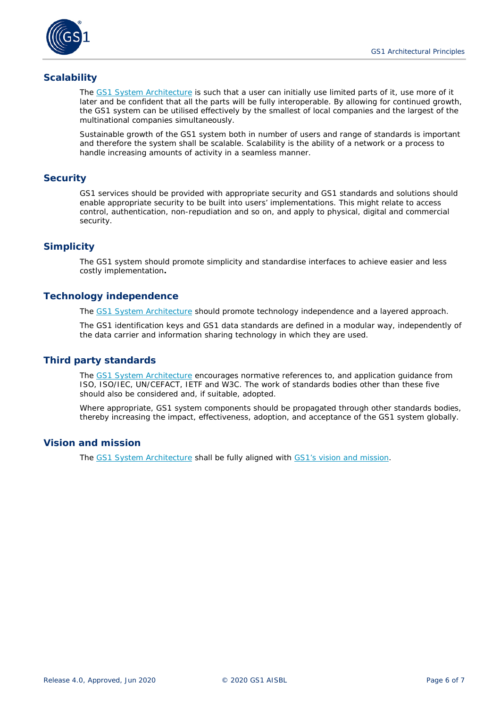

#### **Scalability**

The [GS1 System Architecture](https://www.gs1.org/standards/gs1-system-architecture-document/current-standard) is such that a user can initially use limited parts of it, use more of it later and be confident that all the parts will be fully interoperable. By allowing for continued growth, the GS1 system can be utilised effectively by the smallest of local companies and the largest of the multinational companies simultaneously.

Sustainable growth of the GS1 system both in number of users and range of standards is important and therefore the system shall be scalable. Scalability is the ability of a network or a process to handle increasing amounts of activity in a seamless manner.

#### **Security**

GS1 services should be provided with appropriate security and GS1 standards and solutions should enable appropriate security to be built into users' implementations. This might relate to access control, authentication, non-repudiation and so on, and apply to physical, digital and commercial security.

#### **Simplicity**

The GS1 system should promote simplicity and standardise interfaces to achieve easier and less costly implementation**.**

#### **Technology independence**

The [GS1 System Architecture](https://www.gs1.org/standards/gs1-system-architecture-document/current-standard) should promote technology independence and a layered approach.

The GS1 identification keys and GS1 data standards are defined in a modular way, independently of the data carrier and information sharing technology in which they are used.

#### **Third party standards**

The [GS1 System Architecture](https://www.gs1.org/standards/gs1-system-architecture-document/current-standard) encourages normative references to, and application guidance from ISO, ISO/IEC, UN/CEFACT, IETF and W3C. The work of standards bodies other than these five should also be considered and, if suitable, adopted.

Where appropriate, GS1 system components should be propagated through other standards bodies, thereby increasing the impact, effectiveness, adoption, and acceptance of the GS1 system globally.

#### **Vision and mission**

The [GS1 System Architecture](https://www.gs1.org/standards/gs1-system-architecture-document/current-standard) shall be fully aligned with [GS1's vision and mission.](https://xchange.gs1.org/sites/faq/pages/gs1-vision-amp-mission.aspx)